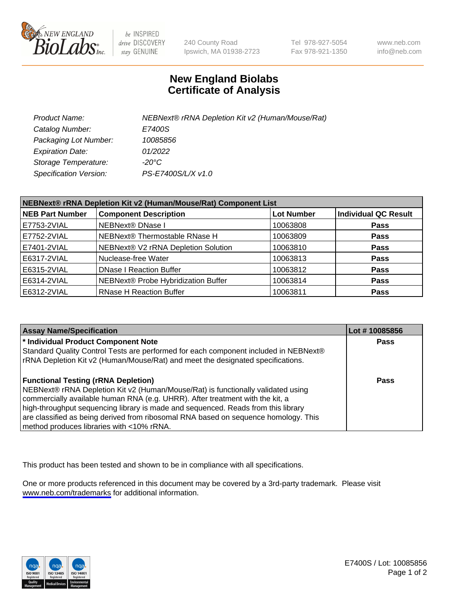

be INSPIRED drive DISCOVERY stay GENUINE

240 County Road Ipswich, MA 01938-2723 Tel 978-927-5054 Fax 978-921-1350

www.neb.com info@neb.com

## **New England Biolabs Certificate of Analysis**

| Product Name:           | NEBNext® rRNA Depletion Kit v2 (Human/Mouse/Rat) |
|-------------------------|--------------------------------------------------|
| Catalog Number:         | E7400S                                           |
| Packaging Lot Number:   | 10085856                                         |
| <b>Expiration Date:</b> | 01/2022                                          |
| Storage Temperature:    | -20°C                                            |
| Specification Version:  | PS-E7400S/L/X v1.0                               |

| NEBNext® rRNA Depletion Kit v2 (Human/Mouse/Rat) Component List |                                     |                   |                             |  |
|-----------------------------------------------------------------|-------------------------------------|-------------------|-----------------------------|--|
| <b>NEB Part Number</b>                                          | <b>Component Description</b>        | <b>Lot Number</b> | <b>Individual QC Result</b> |  |
| E7753-2VIAL                                                     | <b>NEBNext® DNase I</b>             | 10063808          | <b>Pass</b>                 |  |
| E7752-2VIAL                                                     | NEBNext® Thermostable RNase H       | 10063809          | <b>Pass</b>                 |  |
| E7401-2VIAL                                                     | NEBNext® V2 rRNA Depletion Solution | 10063810          | <b>Pass</b>                 |  |
| E6317-2VIAL                                                     | Nuclease-free Water                 | 10063813          | <b>Pass</b>                 |  |
| E6315-2VIAL                                                     | <b>DNase I Reaction Buffer</b>      | 10063812          | <b>Pass</b>                 |  |
| E6314-2VIAL                                                     | NEBNext® Probe Hybridization Buffer | 10063814          | <b>Pass</b>                 |  |
| E6312-2VIAL                                                     | <b>RNase H Reaction Buffer</b>      | 10063811          | <b>Pass</b>                 |  |

| <b>Assay Name/Specification</b>                                                      | Lot #10085856 |
|--------------------------------------------------------------------------------------|---------------|
| * Individual Product Component Note                                                  | <b>Pass</b>   |
| Standard Quality Control Tests are performed for each component included in NEBNext® |               |
| rRNA Depletion Kit v2 (Human/Mouse/Rat) and meet the designated specifications.      |               |
| <b>Functional Testing (rRNA Depletion)</b>                                           | <b>Pass</b>   |
| NEBNext® rRNA Depletion Kit v2 (Human/Mouse/Rat) is functionally validated using     |               |
| commercially available human RNA (e.g. UHRR). After treatment with the kit, a        |               |
| high-throughput sequencing library is made and sequenced. Reads from this library    |               |
| are classified as being derived from ribosomal RNA based on sequence homology. This  |               |
| method produces libraries with <10% rRNA.                                            |               |

This product has been tested and shown to be in compliance with all specifications.

One or more products referenced in this document may be covered by a 3rd-party trademark. Please visit <www.neb.com/trademarks>for additional information.